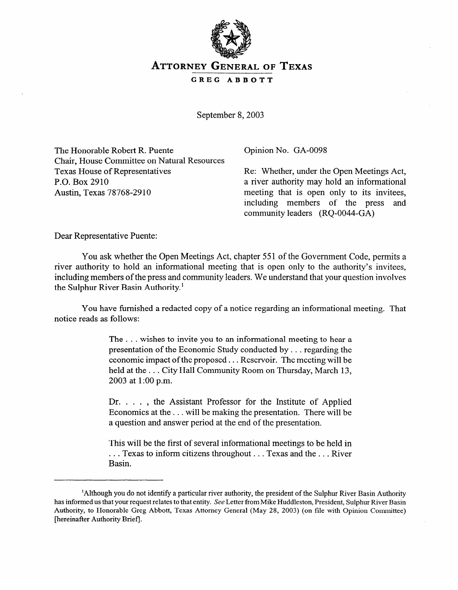

## **ATTORNEY GENERAL OF TEXAS**

**GREG ABBOTT** 

September 8, 2003

The Honorable Robert R. Puente Chair, House Committee on Natural Resources Texas House of Representatives P.O. Box 2910 Austin, Texas 78768-29 10

Opinion No. GA-0098

Re: Whether, under the Open Meetings Act, a river authority may hold an informational meeting that is open only to its invitees,<br>including members of the press and including members of the press community leaders (RQ-0044-GA)

Dear Representative Puente:

You ask whether the Open Meetings Act, chapter 551 of the Government Code, permits a river authority to hold an informational meeting that is open only to the authority's invitees, river authority to hold an informational meeting that is open only to the authority's invitees including members of the press and community leaders. We understand that your question involves the Sulphur River Basin Authority.'

You have furnished a redacted copy of a notice regarding an informational meeting. That notice as follows:

> The  $\dots$  wishes to invite you to an informational meeting to hear a presentation of the Economic Study conducted by  $\dots$  regarding the economic impact of the proposed  $\ldots$  Reservoir. The meeting will be held at the ... City Hall Community Room on Thursday, March 13. 2003 at 1:00 p.m. 2003 at 1:00 p.m.

> Dr. . . . , the Assistant Professor for the Institute of Applied Economics at the . . . will be making the presentation. There will be a question and answer period at the end of the presentation. a question and answer period at the end of the presentation.

> This will be the first of several informational meetings to be held in  $\ldots$  Texas to inform citizens throughout  $\ldots$  Texas and the  $\ldots$  River . . . Texas to inform citizens throughout. . . Texas and the. . . River

<sup>&#</sup>x27;Although you do not identify a particular river authority, the president of the Sulphur River Basin Authority has informed us that your request relates to that entity. See Letter from Mike Huddleston, President, Sulphur River Basin Authority, to Honorable Greg Abbott, Texas Attorney General (May 28, 2003) (on file with Opinion Committee) [hereinafter Authority Brief].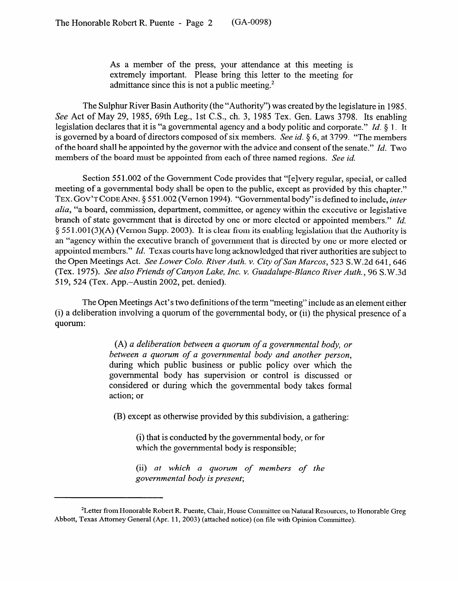As a member of the press, your attendance at this meeting is extremely important. Please bring this letter to the meeting for admittance since this is not a public meeting.<sup>2</sup>

The Sulphur River Basin Authority (the "Authority") was created by the legislature in 1985. See Act of May 29, 1985, 69th Leg., 1st C.S., ch. 3, 1985 Tex. Gen. Laws 3798. Its enabling legislation declares that it is "a governmental agency and a body politic and corporate." *Id. 8* 1. It is governed by a board of directors composed of six members. See *id*. § 6, at 3799. "The members of the board shall be appointed by the governor with the advice and consent of the senate." *Id.* Two members of the board must be appointed from each of three named regions. See id.

Section 551.002 of the Government Code provides that "[e]very regular, special, or called meeting of a governmental body shall be open to the public, except as provided by this chapter." **TEX. GOV'T CODE** ANN. 5 55 1.002 (Vernon 1994). "Governmental body" is defined to include, *inter alia*, "a board, commission, department, committee, or agency within the executive or legislative branch of state government that is directed by one or more elected or appointed members." *Id.* § 551.001(3)(A) (Vernon Supp. 2003). It is clear from its enabling legislation that the Authority is an "agency within the executive branch of government that is directed by one or more elected or appointed members." Id. Texas courts have long acknowledged that river authorities are subject to the Open Meetings Act. *See Lower Colo. River Auth. v. City of San Marcos*, 523 S.W.2d 641, 646 the Open Meetings Act. *See Lower Cola. River Auth. v. City of San Marcos, 523* S.W.2d 64 1,646 (Tex. *1975). See also Friends of Canyon Lake, Inc. v. Guadalupe-Blanc0 River Auth., 96* S.W.3d 5 19, 524 (Tex. App.-Austin 2002, pet. denied).

The Open Meetings Tet s two definitions of the term "meeting" include as an element either (i) a deliberation involving a quorum of the governmental body, or (ii) the physical presence of a quorum:

> (A) *a deliberation between a quorum of a governmental body, or during which public business or public policy over which the* governmental body has supervision or control is discussed or considered or during which the governmental body takes formal action; or action; or

(B) except as otherwise provided by this subdivision, a gathering:  $\frac{1}{2}$ 

(i) that is conducted by the governmental body, or for which the governmental body is responsible;

(ii) at which a quorum of members of the (ii) *at which a quorum of members of the* 

<sup>&</sup>lt;sup>2</sup>Letter from Honorable Robert R. Puente, Chair, House Committee on Natural Resources, to Honorable Greg Abbott, Texas Attorney General (Apr. 11, 2003) (attached notice) (on file with Opinion Committee).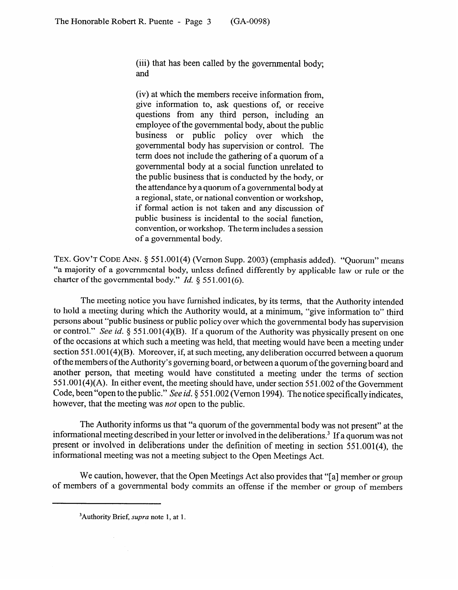(iii) that has been called by the governmental body; and

(iv) at which the members receive information from, give information to, ask questions of, or receive questions from any third person, including an employee of the governmental body, about the public business or public policy over which the governmental body has supervision or control. The term does not include the gathering of a quorum of a governmental body at a social function unrelated to the public business that is conducted by the body, or the attendance by a quorum of a governmental body at the attendance by a quorum of a governmental body at a regional, state, or national convention or workshop, if formal action is not taken and any discussion of public business is incidental to the social function, public business is incidental to the social function, convention, or workshop. The term includes a session of a governmental body.

**TEX. GOV'T CODE ANN. 8** 55 l-001(4) (V emon Supp. 2003) (emphasis added). "Quorum" means a majority of a governmental body, unless defined differently by applicable law or rule or the charter of the governmental body." *Id.* § 551.001(6).

The meeting notice you have furnished indicates, by its terms, that the Authority intended to hold a meeting during which the Authority would, at a minimum, "give information to" third persons about "public business or public policy over which the governmental body has supervision or control." See id. § 551.001(4)(B). If a quorum of the Authority was physically present on one of the occasions at which such a meeting was held, that meeting would have been a meeting under section 551.001(4)(B). Moreover, if, at such meeting, any deliberation occurred between a quorum of the members of the Authority's governing board, or between a quorum of the governing board and another person, that meeting would have constituted a meeting under the terms of section  $551.001(4)$ (A). In either event, the meeting should have, under section 551.002 of the Government Code, been "open to the public." See id.  $\S 551.002$  (Vernon 1994). The notice specifically indicates. however, that the meeting was *not* open to the public. however, that the meeting was *not* open to the public.

The Authority informs us that "a quorum of the governmental body was not present" at the informational meeting described in your letter or involved in the deliberations.<sup>3</sup> If a quorum was not present or involved in deliberations under the definition of meeting in section 551.001(4), the informational meeting was not a meeting subject to the Open Meetings Act. informational meeting was not a meeting subject to the Open Meetings Act.

We caution, however, that the Open Meetings Act also provides that "[a] member or group of members of a governmental body commits an offense if the member or group of members

<sup>&</sup>lt;sup>3</sup>Authority Brief, *supra* note 1, at 1.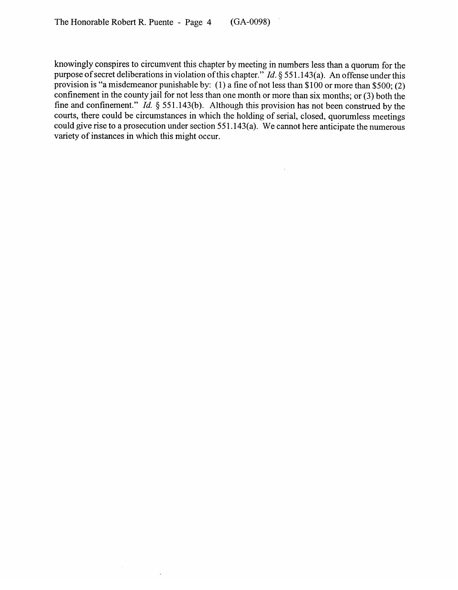$\alpha$ 

knowingly conspires to circumvent this chapter by meeting in numbers less than a quorum for the purpose of secret deliberations in violation of this chapter." *Id.* 5 55 1.143(a). An offense under this provision is "a misdemeanor punishable by: (1) a fine of not less than  $$100$  or more than  $$500$ ; (2) confinement in the county jail for not less than one month or more than six months; or (3) both the fine and confinement." *Id.* § 551.143(b). Although this provision has not been construed by the courts, there could be circumstances in which the holding of serial, closed, quorumless meetings could give rise to a prosecution under section 551.143(a). We cannot here anticipate the numerous variety of instances in which this might occur.

 $\overline{\phantom{a}}$